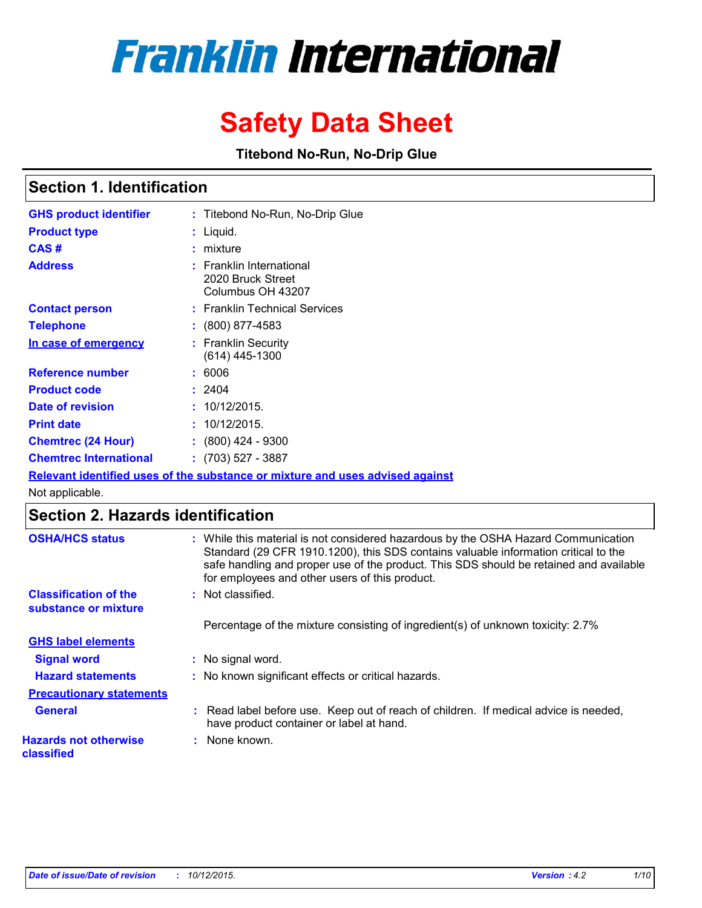# **Franklin International**

## **Safety Data Sheet**

**Titebond No-Run, No-Drip Glue**

## **Section 1. Identification**

| <b>GHS product identifier</b> | : Titebond No-Run, No-Drip Glue                                                      |
|-------------------------------|--------------------------------------------------------------------------------------|
| <b>Product type</b>           | : Liquid.                                                                            |
| CAS#                          | $:$ mixture                                                                          |
| <b>Address</b>                | : Franklin International<br>2020 Bruck Street<br>Columbus OH 43207                   |
| <b>Contact person</b>         | : Franklin Technical Services                                                        |
| Telephone                     | $: (800) 877 - 4583$                                                                 |
| In case of emergency          | : Franklin Security<br>$(614)$ 445-1300                                              |
| <b>Reference number</b>       | : 6006                                                                               |
| <b>Product code</b>           | : 2404                                                                               |
| Date of revision              | : 10/12/2015.                                                                        |
| <b>Print date</b>             | : 10/12/2015.                                                                        |
| <b>Chemtrec (24 Hour)</b>     | $: (800)$ 424 - 9300                                                                 |
| Chemtrec International        | $: (703) 527 - 3887$                                                                 |
|                               | <u>Relevant identified uses of the substance or mixture and uses advised against</u> |

Not applicable.

## **Section 2. Hazards identification**

| <b>OSHA/HCS status</b>                               | : While this material is not considered hazardous by the OSHA Hazard Communication<br>Standard (29 CFR 1910.1200), this SDS contains valuable information critical to the<br>safe handling and proper use of the product. This SDS should be retained and available<br>for employees and other users of this product. |
|------------------------------------------------------|-----------------------------------------------------------------------------------------------------------------------------------------------------------------------------------------------------------------------------------------------------------------------------------------------------------------------|
| <b>Classification of the</b><br>substance or mixture | : Not classified.                                                                                                                                                                                                                                                                                                     |
|                                                      | Percentage of the mixture consisting of ingredient(s) of unknown toxicity: 2.7%                                                                                                                                                                                                                                       |
| <b>GHS label elements</b>                            |                                                                                                                                                                                                                                                                                                                       |
| <b>Signal word</b>                                   | : No signal word.                                                                                                                                                                                                                                                                                                     |
| <b>Hazard statements</b>                             | : No known significant effects or critical hazards.                                                                                                                                                                                                                                                                   |
| <b>Precautionary statements</b>                      |                                                                                                                                                                                                                                                                                                                       |
| <b>General</b>                                       | : Read label before use. Keep out of reach of children. If medical advice is needed,<br>have product container or label at hand.                                                                                                                                                                                      |
| <b>Hazards not otherwise</b><br>classified           | : None known.                                                                                                                                                                                                                                                                                                         |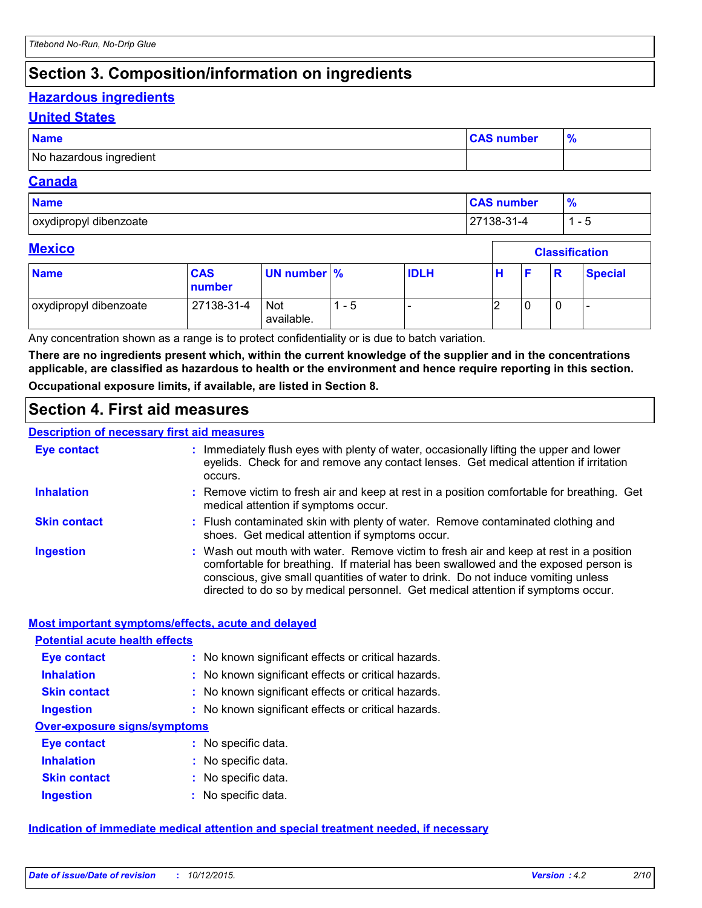## **Section 3. Composition/information on ingredients**

## **Hazardous ingredients**

#### **United States**

| <b>Name</b>             | <b>CAS number</b> |  |
|-------------------------|-------------------|--|
| No hazardous ingredient |                   |  |

#### **Canada**

| <b>Name</b>            | <b>CAS number</b> | 70                       |
|------------------------|-------------------|--------------------------|
| oxydipropyl dibenzoate | $27138 - 31 - 4$  | $\overline{\phantom{a}}$ |

Г

#### **Mexico**

| <b>Mexico</b>          |                      |                          |     |             |   | <b>Classification</b> |   |                |  |
|------------------------|----------------------|--------------------------|-----|-------------|---|-----------------------|---|----------------|--|
| <b>Name</b>            | <b>CAS</b><br>number | UN number %              |     | <b>IDLH</b> | н |                       | R | <b>Special</b> |  |
| oxydipropyl dibenzoate | 27138-31-4           | <b>Not</b><br>available. | - 5 |             |   |                       | 0 |                |  |

Any concentration shown as a range is to protect confidentiality or is due to batch variation.

**There are no ingredients present which, within the current knowledge of the supplier and in the concentrations applicable, are classified as hazardous to health or the environment and hence require reporting in this section. Occupational exposure limits, if available, are listed in Section 8.**

## **Section 4. First aid measures**

#### **Description of necessary first aid measures**

| <b>Eye contact</b>  | : Immediately flush eyes with plenty of water, occasionally lifting the upper and lower<br>eyelids. Check for and remove any contact lenses. Get medical attention if irritation<br>occurs.                                                                                                                                                            |
|---------------------|--------------------------------------------------------------------------------------------------------------------------------------------------------------------------------------------------------------------------------------------------------------------------------------------------------------------------------------------------------|
| <b>Inhalation</b>   | : Remove victim to fresh air and keep at rest in a position comfortable for breathing. Get<br>medical attention if symptoms occur.                                                                                                                                                                                                                     |
| <b>Skin contact</b> | : Flush contaminated skin with plenty of water. Remove contaminated clothing and<br>shoes. Get medical attention if symptoms occur.                                                                                                                                                                                                                    |
| <b>Ingestion</b>    | : Wash out mouth with water. Remove victim to fresh air and keep at rest in a position<br>comfortable for breathing. If material has been swallowed and the exposed person is<br>conscious, give small quantities of water to drink. Do not induce vomiting unless<br>directed to do so by medical personnel. Get medical attention if symptoms occur. |

#### **Most important symptoms/effects, acute and delayed**

| <b>Potential acute health effects</b> |                                                     |
|---------------------------------------|-----------------------------------------------------|
| Eye contact                           | : No known significant effects or critical hazards. |
| <b>Inhalation</b>                     | : No known significant effects or critical hazards. |
| <b>Skin contact</b>                   | : No known significant effects or critical hazards. |
| <b>Ingestion</b>                      | : No known significant effects or critical hazards. |
| <b>Over-exposure signs/symptoms</b>   |                                                     |
| Eye contact                           | : No specific data.                                 |
| <b>Inhalation</b>                     | : No specific data.                                 |
| <b>Skin contact</b>                   | : No specific data.                                 |
| <b>Ingestion</b>                      | No specific data.                                   |

#### **Indication of immediate medical attention and special treatment needed, if necessary**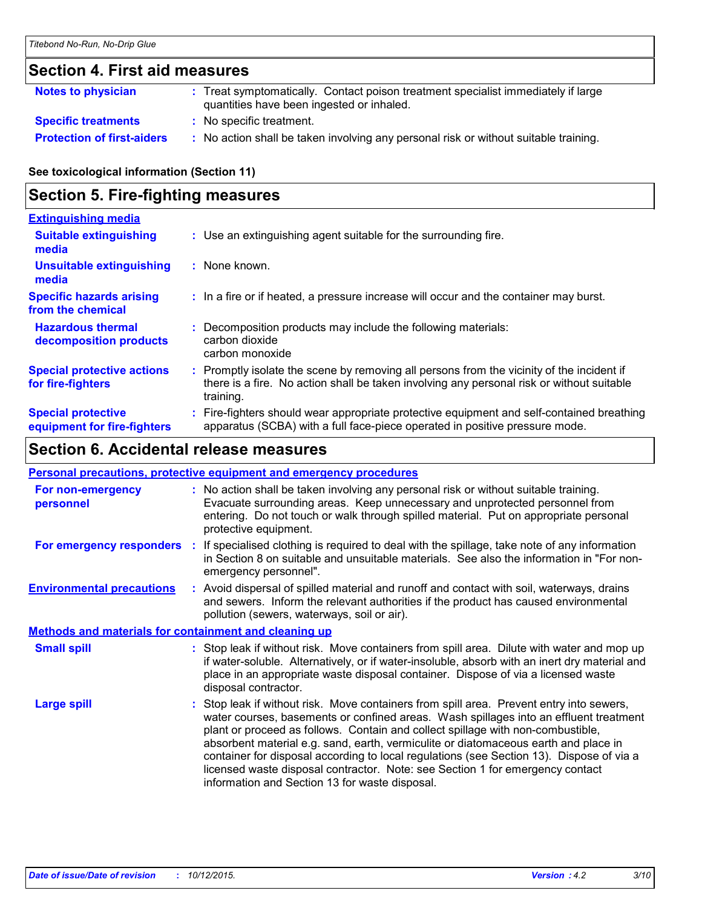## **Section 4. First aid measures**

| Notes to physician                | : Treat symptomatically. Contact poison treatment specialist immediately if large<br>quantities have been ingested or inhaled. |
|-----------------------------------|--------------------------------------------------------------------------------------------------------------------------------|
| <b>Specific treatments</b>        | : No specific treatment.                                                                                                       |
| <b>Protection of first-aiders</b> | : No action shall be taken involving any personal risk or without suitable training.                                           |

**See toxicological information (Section 11)**

## **Section 5. Fire-fighting measures**

| <b>Extinguishing media</b>                               |                                                                                                                                                                                                     |  |
|----------------------------------------------------------|-----------------------------------------------------------------------------------------------------------------------------------------------------------------------------------------------------|--|
| <b>Suitable extinguishing</b><br>media                   | : Use an extinguishing agent suitable for the surrounding fire.                                                                                                                                     |  |
| <b>Unsuitable extinguishing</b><br>media                 | : None known.                                                                                                                                                                                       |  |
| <b>Specific hazards arising</b><br>from the chemical     | : In a fire or if heated, a pressure increase will occur and the container may burst.                                                                                                               |  |
| <b>Hazardous thermal</b><br>decomposition products       | : Decomposition products may include the following materials:<br>carbon dioxide<br>carbon monoxide                                                                                                  |  |
| <b>Special protective actions</b><br>for fire-fighters   | : Promptly isolate the scene by removing all persons from the vicinity of the incident if<br>there is a fire. No action shall be taken involving any personal risk or without suitable<br>training. |  |
| <b>Special protective</b><br>equipment for fire-fighters | Fire-fighters should wear appropriate protective equipment and self-contained breathing<br>apparatus (SCBA) with a full face-piece operated in positive pressure mode.                              |  |

## **Section 6. Accidental release measures**

#### **Personal precautions, protective equipment and emergency procedures**

| For non-emergency<br>personnel                               | : No action shall be taken involving any personal risk or without suitable training.<br>Evacuate surrounding areas. Keep unnecessary and unprotected personnel from<br>entering. Do not touch or walk through spilled material. Put on appropriate personal<br>protective equipment.                                                                                                                                                                                                                                                                                                       |
|--------------------------------------------------------------|--------------------------------------------------------------------------------------------------------------------------------------------------------------------------------------------------------------------------------------------------------------------------------------------------------------------------------------------------------------------------------------------------------------------------------------------------------------------------------------------------------------------------------------------------------------------------------------------|
|                                                              | For emergency responders : If specialised clothing is required to deal with the spillage, take note of any information<br>in Section 8 on suitable and unsuitable materials. See also the information in "For non-<br>emergency personnel".                                                                                                                                                                                                                                                                                                                                                |
| <b>Environmental precautions</b>                             | : Avoid dispersal of spilled material and runoff and contact with soil, waterways, drains<br>and sewers. Inform the relevant authorities if the product has caused environmental<br>pollution (sewers, waterways, soil or air).                                                                                                                                                                                                                                                                                                                                                            |
| <b>Methods and materials for containment and cleaning up</b> |                                                                                                                                                                                                                                                                                                                                                                                                                                                                                                                                                                                            |
| <b>Small spill</b>                                           | : Stop leak if without risk. Move containers from spill area. Dilute with water and mop up<br>if water-soluble. Alternatively, or if water-insoluble, absorb with an inert dry material and<br>place in an appropriate waste disposal container. Dispose of via a licensed waste<br>disposal contractor.                                                                                                                                                                                                                                                                                   |
| Large spill                                                  | : Stop leak if without risk. Move containers from spill area. Prevent entry into sewers,<br>water courses, basements or confined areas. Wash spillages into an effluent treatment<br>plant or proceed as follows. Contain and collect spillage with non-combustible,<br>absorbent material e.g. sand, earth, vermiculite or diatomaceous earth and place in<br>container for disposal according to local regulations (see Section 13). Dispose of via a<br>licensed waste disposal contractor. Note: see Section 1 for emergency contact<br>information and Section 13 for waste disposal. |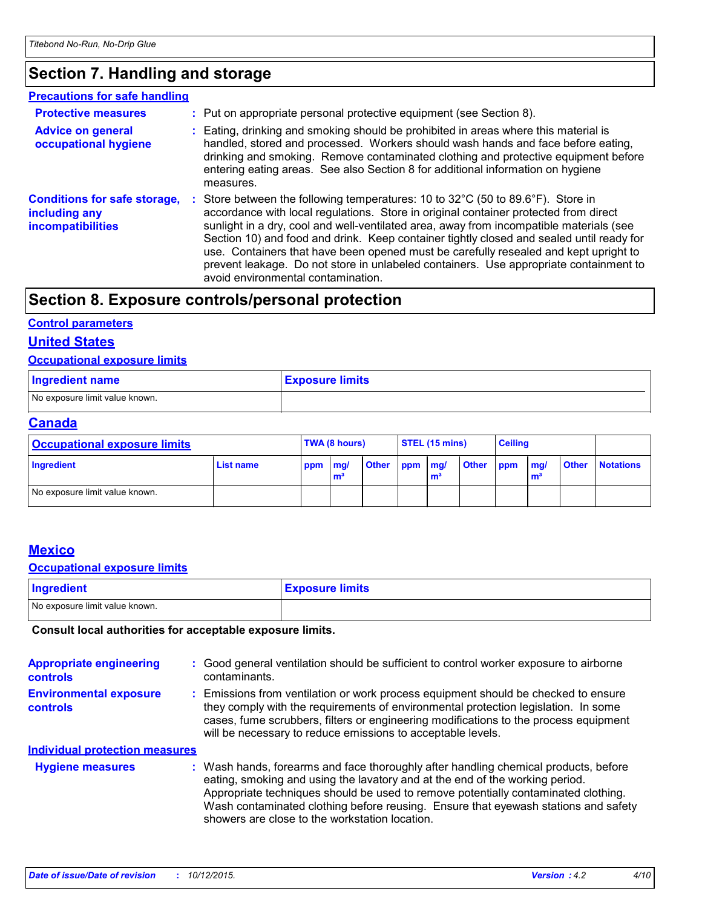## **Section 7. Handling and storage**

#### **Advice on general occupational hygiene Conditions for safe storage,** : Store between the following temperatures: 10 to 32°C (50 to 89.6°F). Store in **including any incompatibilities** Eating, drinking and smoking should be prohibited in areas where this material is **:** handled, stored and processed. Workers should wash hands and face before eating, drinking and smoking. Remove contaminated clothing and protective equipment before entering eating areas. See also Section 8 for additional information on hygiene measures. accordance with local regulations. Store in original container protected from direct sunlight in a dry, cool and well-ventilated area, away from incompatible materials (see Section 10) and food and drink. Keep container tightly closed and sealed until ready for use. Containers that have been opened must be carefully resealed and kept upright to prevent leakage. Do not store in unlabeled containers. Use appropriate containment to avoid environmental contamination. **Protective measures : Put on appropriate personal protective equipment (see Section 8). Precautions for safe handling**

## **Section 8. Exposure controls/personal protection**

#### **Control parameters**

#### **United States**

#### **Occupational exposure limits**

| <b>Ingredient name</b>         | <b>Exposure limits</b> |
|--------------------------------|------------------------|
| No exposure limit value known. |                        |

#### **Canada**

| <b>Occupational exposure limits</b> |           | TWA (8 hours) |   |              | STEL (15 mins) |   |           | <b>Ceiling</b> |                     |              |                  |
|-------------------------------------|-----------|---------------|---|--------------|----------------|---|-----------|----------------|---------------------|--------------|------------------|
| Ingredient                          | List name | ppm mg/       | m | <b>Other</b> | ppm mg/        | m | Other ppm |                | mg/<br>$\mathbf{m}$ | <b>Other</b> | <b>Notations</b> |
| No exposure limit value known.      |           |               |   |              |                |   |           |                |                     |              |                  |

#### **Mexico**

#### **Occupational exposure limits**

| Ingredient                     | <b>Exposure limits</b> |
|--------------------------------|------------------------|
| No exposure limit value known. |                        |

#### **Consult local authorities for acceptable exposure limits.**

| <b>Appropriate engineering</b><br><b>controls</b> | : Good general ventilation should be sufficient to control worker exposure to airborne<br>contaminants.                                                                                                                                                                                                                                                                                           |
|---------------------------------------------------|---------------------------------------------------------------------------------------------------------------------------------------------------------------------------------------------------------------------------------------------------------------------------------------------------------------------------------------------------------------------------------------------------|
| <b>Environmental exposure</b><br>controls         | : Emissions from ventilation or work process equipment should be checked to ensure<br>they comply with the requirements of environmental protection legislation. In some<br>cases, fume scrubbers, filters or engineering modifications to the process equipment<br>will be necessary to reduce emissions to acceptable levels.                                                                   |
| <b>Individual protection measures</b>             |                                                                                                                                                                                                                                                                                                                                                                                                   |
| <b>Hygiene measures</b>                           | : Wash hands, forearms and face thoroughly after handling chemical products, before<br>eating, smoking and using the lavatory and at the end of the working period.<br>Appropriate techniques should be used to remove potentially contaminated clothing.<br>Wash contaminated clothing before reusing. Ensure that eyewash stations and safety<br>showers are close to the workstation location. |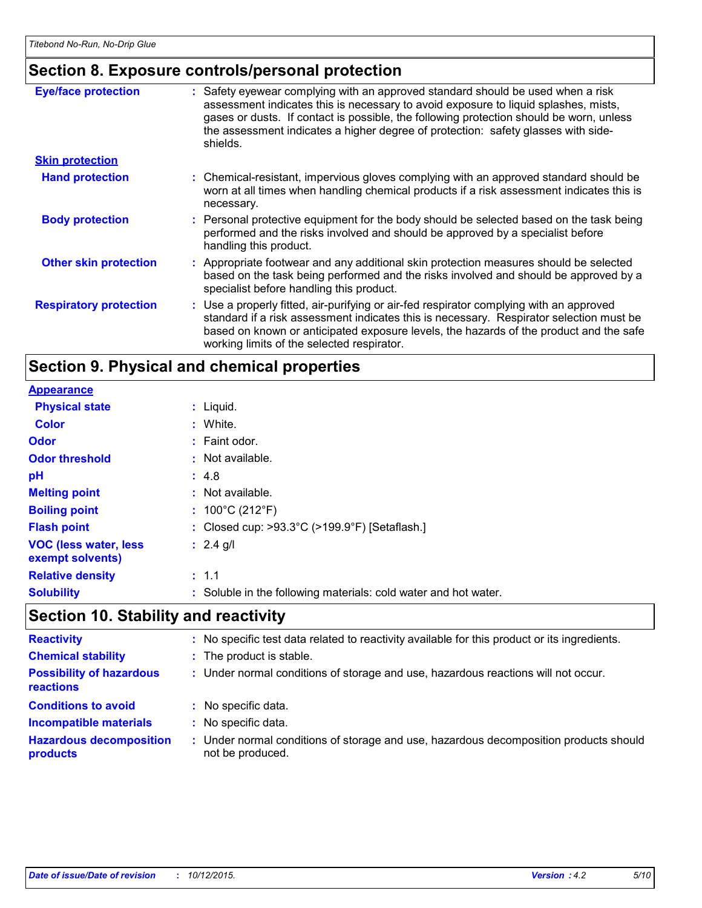## **Section 8. Exposure controls/personal protection**

| <b>Eye/face protection</b>    | : Safety eyewear complying with an approved standard should be used when a risk<br>assessment indicates this is necessary to avoid exposure to liquid splashes, mists,<br>gases or dusts. If contact is possible, the following protection should be worn, unless<br>the assessment indicates a higher degree of protection: safety glasses with side-<br>shields. |
|-------------------------------|--------------------------------------------------------------------------------------------------------------------------------------------------------------------------------------------------------------------------------------------------------------------------------------------------------------------------------------------------------------------|
| <b>Skin protection</b>        |                                                                                                                                                                                                                                                                                                                                                                    |
| <b>Hand protection</b>        | : Chemical-resistant, impervious gloves complying with an approved standard should be<br>worn at all times when handling chemical products if a risk assessment indicates this is<br>necessary.                                                                                                                                                                    |
| <b>Body protection</b>        | : Personal protective equipment for the body should be selected based on the task being<br>performed and the risks involved and should be approved by a specialist before<br>handling this product.                                                                                                                                                                |
| <b>Other skin protection</b>  | : Appropriate footwear and any additional skin protection measures should be selected<br>based on the task being performed and the risks involved and should be approved by a<br>specialist before handling this product.                                                                                                                                          |
| <b>Respiratory protection</b> | : Use a properly fitted, air-purifying or air-fed respirator complying with an approved<br>standard if a risk assessment indicates this is necessary. Respirator selection must be<br>based on known or anticipated exposure levels, the hazards of the product and the safe<br>working limits of the selected respirator.                                         |

## **Section 9. Physical and chemical properties**

| <b>Appearance</b>                                |                                                                    |
|--------------------------------------------------|--------------------------------------------------------------------|
| <b>Physical state</b>                            | $:$ Liquid.                                                        |
| <b>Color</b>                                     | : White.                                                           |
| <b>Odor</b>                                      | : Faint odor.                                                      |
| <b>Odor threshold</b>                            | $\therefore$ Not available.                                        |
| pH                                               | : 4.8                                                              |
| <b>Melting point</b>                             | : Not available.                                                   |
| <b>Boiling point</b>                             | : $100^{\circ}$ C (212 $^{\circ}$ F)                               |
| <b>Flash point</b>                               | : Closed cup: $>93.3^{\circ}$ C ( $>199.9^{\circ}$ F) [Setaflash.] |
| <b>VOC (less water, less</b><br>exempt solvents) | : $2.4$ g/l                                                        |
| <b>Relative density</b>                          | : 1.1                                                              |
| <b>Solubility</b>                                | : Soluble in the following materials: cold water and hot water.    |

## **Section 10. Stability and reactivity**

| <b>Reactivity</b>                            |    | : No specific test data related to reactivity available for this product or its ingredients.            |
|----------------------------------------------|----|---------------------------------------------------------------------------------------------------------|
| <b>Chemical stability</b>                    |    | : The product is stable.                                                                                |
| <b>Possibility of hazardous</b><br>reactions |    | : Under normal conditions of storage and use, hazardous reactions will not occur.                       |
| <b>Conditions to avoid</b>                   | ÷. | No specific data.                                                                                       |
| <b>Incompatible materials</b>                |    | No specific data.                                                                                       |
| <b>Hazardous decomposition</b><br>products   | t. | Under normal conditions of storage and use, hazardous decomposition products should<br>not be produced. |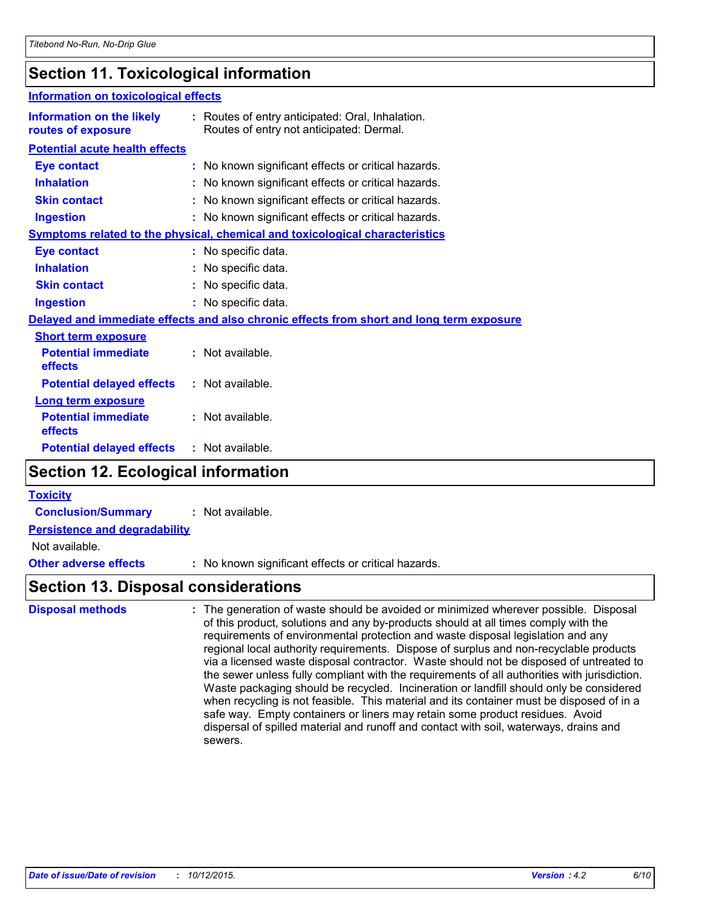## **Section 11. Toxicological information**

| <b>Information on toxicological effects</b>            |                                                                                              |  |
|--------------------------------------------------------|----------------------------------------------------------------------------------------------|--|
| <b>Information on the likely</b><br>routes of exposure | : Routes of entry anticipated: Oral, Inhalation.<br>Routes of entry not anticipated: Dermal. |  |
| <b>Potential acute health effects</b>                  |                                                                                              |  |
| <b>Eye contact</b>                                     | : No known significant effects or critical hazards.                                          |  |
| <b>Inhalation</b>                                      | : No known significant effects or critical hazards.                                          |  |
| <b>Skin contact</b>                                    | : No known significant effects or critical hazards.                                          |  |
| <b>Ingestion</b>                                       | : No known significant effects or critical hazards.                                          |  |
|                                                        | <b>Symptoms related to the physical, chemical and toxicological characteristics</b>          |  |
| <b>Eye contact</b>                                     | : No specific data.                                                                          |  |
| <b>Inhalation</b>                                      | : No specific data.                                                                          |  |
| <b>Skin contact</b>                                    | : No specific data.                                                                          |  |
| <b>Ingestion</b>                                       | : No specific data.                                                                          |  |
|                                                        | Delayed and immediate effects and also chronic effects from short and long term exposure     |  |
| <b>Short term exposure</b>                             |                                                                                              |  |
| <b>Potential immediate</b><br>effects                  | : Not available.                                                                             |  |
| <b>Potential delayed effects</b>                       | : Not available.                                                                             |  |
| <b>Long term exposure</b>                              |                                                                                              |  |
| <b>Potential immediate</b><br>effects                  | $:$ Not available.                                                                           |  |
| <b>Potential delayed effects</b>                       | $:$ Not available.                                                                           |  |
| <b>Section 12. Ecological information</b>              |                                                                                              |  |

| <b>Toxicity</b> |  |
|-----------------|--|
|                 |  |

**Conclusion/Summary :** Not available.

**Persistence and degradability**

Not available.

**Other adverse effects** : No known significant effects or critical hazards.

### **Section 13. Disposal considerations**

The generation of waste should be avoided or minimized wherever possible. Disposal of this product, solutions and any by-products should at all times comply with the requirements of environmental protection and waste disposal legislation and any regional local authority requirements. Dispose of surplus and non-recyclable products via a licensed waste disposal contractor. Waste should not be disposed of untreated to the sewer unless fully compliant with the requirements of all authorities with jurisdiction. Waste packaging should be recycled. Incineration or landfill should only be considered when recycling is not feasible. This material and its container must be disposed of in a safe way. Empty containers or liners may retain some product residues. Avoid dispersal of spilled material and runoff and contact with soil, waterways, drains and sewers. **Disposal methods :**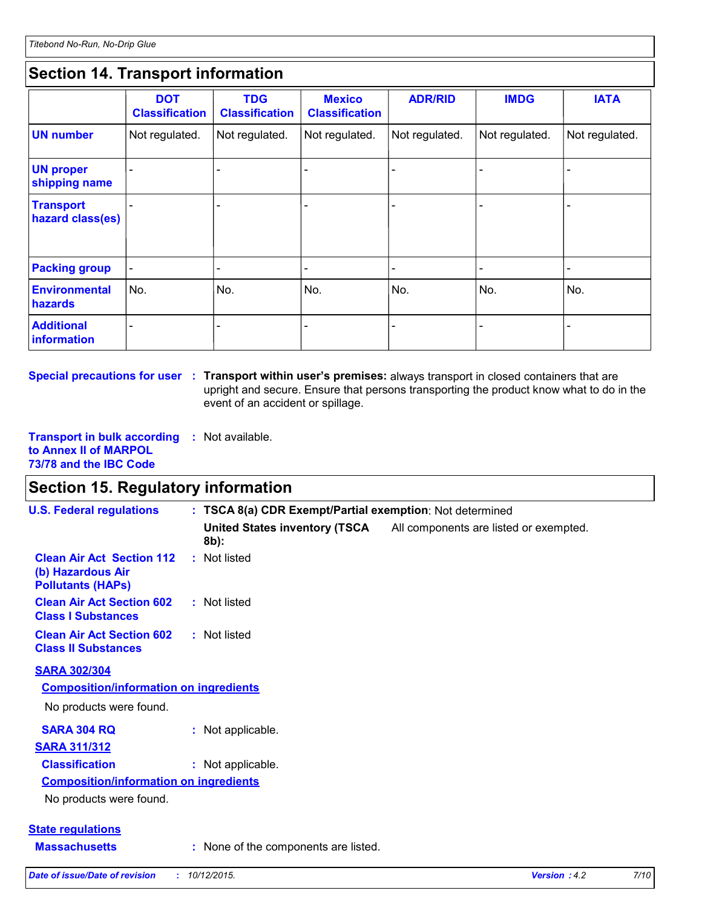## **Section 14. Transport information**

|                                      | <b>DOT</b><br><b>Classification</b> | <b>TDG</b><br><b>Classification</b> | <b>Mexico</b><br><b>Classification</b> | <b>ADR/RID</b> | <b>IMDG</b>    | <b>IATA</b>    |
|--------------------------------------|-------------------------------------|-------------------------------------|----------------------------------------|----------------|----------------|----------------|
| <b>UN number</b>                     | Not regulated.                      | Not regulated.                      | Not regulated.                         | Not regulated. | Not regulated. | Not regulated. |
| <b>UN proper</b><br>shipping name    |                                     |                                     |                                        |                |                |                |
| <b>Transport</b><br>hazard class(es) |                                     |                                     |                                        |                |                |                |
| <b>Packing group</b>                 |                                     |                                     |                                        |                |                | -              |
| <b>Environmental</b><br>hazards      | No.                                 | No.                                 | No.                                    | No.            | No.            | No.            |
| <b>Additional</b><br>information     |                                     |                                     |                                        |                |                |                |

**Special precautions for user** : Transport within user's premises: always transport in closed containers that are upright and secure. Ensure that persons transporting the product know what to do in the event of an accident or spillage.

**Transport in bulk according :** Not available. **to Annex II of MARPOL 73/78 and the IBC Code**

## **Section 15. Regulatory information**

| <b>U.S. Federal regulations</b>                                                   | : TSCA 8(a) CDR Exempt/Partial exemption: Not determined |                                                                      |  |  |
|-----------------------------------------------------------------------------------|----------------------------------------------------------|----------------------------------------------------------------------|--|--|
|                                                                                   | $8b$ :                                                   | United States inventory (TSCA All components are listed or exempted. |  |  |
| <b>Clean Air Act Section 112</b><br>(b) Hazardous Air<br><b>Pollutants (HAPs)</b> | : Not listed                                             |                                                                      |  |  |
| <b>Clean Air Act Section 602</b><br><b>Class I Substances</b>                     | : Not listed                                             |                                                                      |  |  |
| <b>Clean Air Act Section 602</b><br><b>Class II Substances</b>                    | : Not listed                                             |                                                                      |  |  |
| <b>SARA 302/304</b>                                                               |                                                          |                                                                      |  |  |
| <b>Composition/information on ingredients</b>                                     |                                                          |                                                                      |  |  |
| No products were found.                                                           |                                                          |                                                                      |  |  |
| <b>SARA 304 RQ</b>                                                                | : Not applicable.                                        |                                                                      |  |  |
| <b>SARA 311/312</b>                                                               |                                                          |                                                                      |  |  |
| <b>Classification</b>                                                             | : Not applicable.                                        |                                                                      |  |  |
| <b>Composition/information on ingredients</b>                                     |                                                          |                                                                      |  |  |
| No products were found.                                                           |                                                          |                                                                      |  |  |
| <b>State requlations</b>                                                          |                                                          |                                                                      |  |  |
| <b>Massachusetts</b>                                                              | : None of the components are listed.                     |                                                                      |  |  |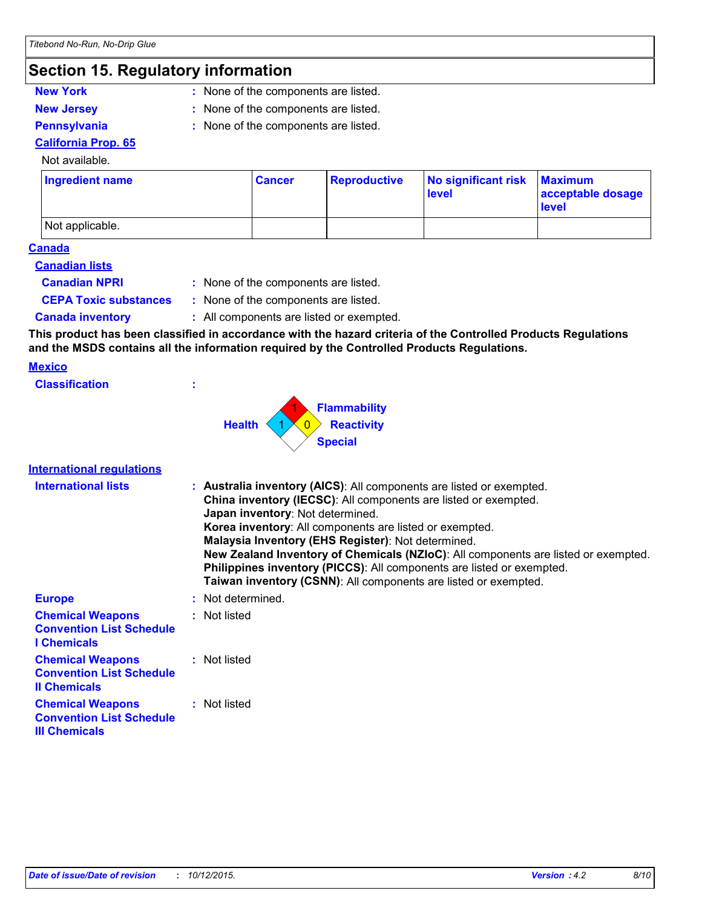## **Section 15. Regulatory information**

- **New York :** None of the components are listed.
- 
- **New Jersey :** None of the components are listed.
- 
- **Pennsylvania :** None of the components are listed.

#### **California Prop. 65** Not available.

| Ingredient name | ∣ Cancer | <b>Reproductive</b> | No significant risk<br>level | <b>Maximum</b><br>acceptable dosage<br><b>level</b> |
|-----------------|----------|---------------------|------------------------------|-----------------------------------------------------|
| Not applicable. |          |                     |                              |                                                     |

#### **Canada**

#### **Canadian lists**

- **Canadian NPRI :**
	- : None of the components are listed.
- 
- **CEPA Toxic substances :** None of the components are listed.
- 
- **Canada inventory :** All components are listed or exempted.

**This product has been classified in accordance with the hazard criteria of the Controlled Products Regulations and the MSDS contains all the information required by the Controlled Products Regulations.**

#### **Mexico**

| <b>Classification</b> | ٠ |
|-----------------------|---|
|                       |   |



#### **International regulations**

| <b>International lists</b>                                                         | : Australia inventory (AICS): All components are listed or exempted.<br>China inventory (IECSC): All components are listed or exempted.<br>Japan inventory: Not determined.<br>Korea inventory: All components are listed or exempted.<br>Malaysia Inventory (EHS Register): Not determined.<br>New Zealand Inventory of Chemicals (NZIoC): All components are listed or exempted.<br>Philippines inventory (PICCS): All components are listed or exempted.<br>Taiwan inventory (CSNN): All components are listed or exempted. |
|------------------------------------------------------------------------------------|--------------------------------------------------------------------------------------------------------------------------------------------------------------------------------------------------------------------------------------------------------------------------------------------------------------------------------------------------------------------------------------------------------------------------------------------------------------------------------------------------------------------------------|
| <b>Europe</b>                                                                      | : Not determined.                                                                                                                                                                                                                                                                                                                                                                                                                                                                                                              |
| <b>Chemical Weapons</b><br><b>Convention List Schedule</b><br><b>I</b> Chemicals   | : Not listed                                                                                                                                                                                                                                                                                                                                                                                                                                                                                                                   |
| <b>Chemical Weapons</b><br><b>Convention List Schedule</b><br><b>Il Chemicals</b>  | : Not listed                                                                                                                                                                                                                                                                                                                                                                                                                                                                                                                   |
| <b>Chemical Weapons</b><br><b>Convention List Schedule</b><br><b>III Chemicals</b> | : Not listed                                                                                                                                                                                                                                                                                                                                                                                                                                                                                                                   |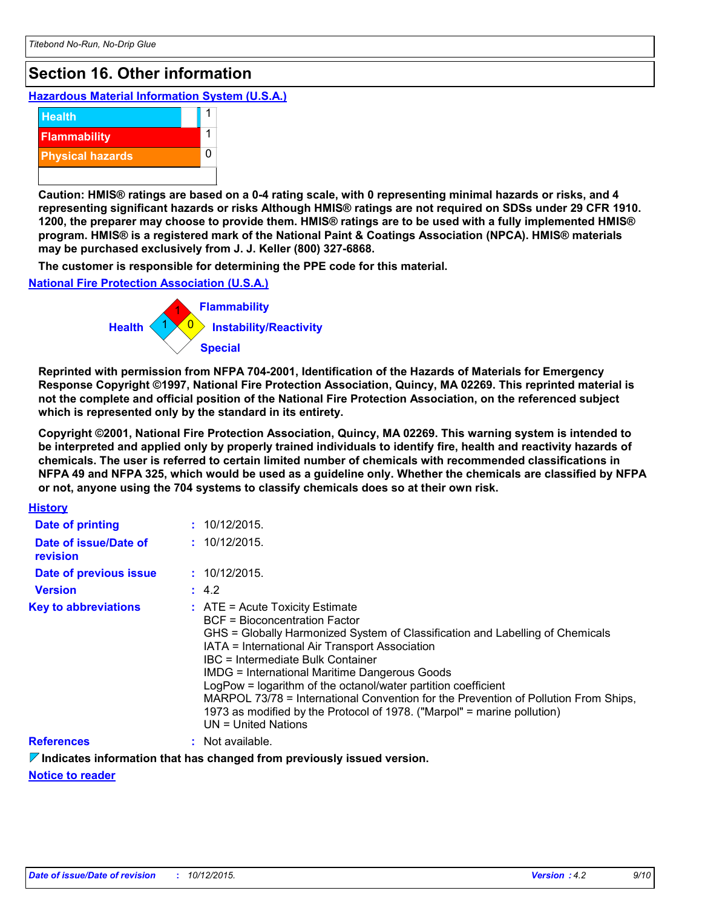## **Section 16. Other information**

**Hazardous Material Information System (U.S.A.)**



**Caution: HMIS® ratings are based on a 0-4 rating scale, with 0 representing minimal hazards or risks, and 4 representing significant hazards or risks Although HMIS® ratings are not required on SDSs under 29 CFR 1910. 1200, the preparer may choose to provide them. HMIS® ratings are to be used with a fully implemented HMIS® program. HMIS® is a registered mark of the National Paint & Coatings Association (NPCA). HMIS® materials may be purchased exclusively from J. J. Keller (800) 327-6868.**

**The customer is responsible for determining the PPE code for this material.**

**National Fire Protection Association (U.S.A.)**



**Reprinted with permission from NFPA 704-2001, Identification of the Hazards of Materials for Emergency Response Copyright ©1997, National Fire Protection Association, Quincy, MA 02269. This reprinted material is not the complete and official position of the National Fire Protection Association, on the referenced subject which is represented only by the standard in its entirety.**

**Copyright ©2001, National Fire Protection Association, Quincy, MA 02269. This warning system is intended to be interpreted and applied only by properly trained individuals to identify fire, health and reactivity hazards of chemicals. The user is referred to certain limited number of chemicals with recommended classifications in NFPA 49 and NFPA 325, which would be used as a guideline only. Whether the chemicals are classified by NFPA or not, anyone using the 704 systems to classify chemicals does so at their own risk.**

| <b>History</b>                    |                                                                                                                                                                                                                                                                                                                                                                                                                                                                                                                                                                       |
|-----------------------------------|-----------------------------------------------------------------------------------------------------------------------------------------------------------------------------------------------------------------------------------------------------------------------------------------------------------------------------------------------------------------------------------------------------------------------------------------------------------------------------------------------------------------------------------------------------------------------|
| Date of printing                  | : 10/12/2015.                                                                                                                                                                                                                                                                                                                                                                                                                                                                                                                                                         |
| Date of issue/Date of<br>revision | : 10/12/2015                                                                                                                                                                                                                                                                                                                                                                                                                                                                                                                                                          |
| Date of previous issue            | : 10/12/2015.                                                                                                                                                                                                                                                                                                                                                                                                                                                                                                                                                         |
| <b>Version</b>                    | : 4.2                                                                                                                                                                                                                                                                                                                                                                                                                                                                                                                                                                 |
| <b>Key to abbreviations</b>       | $\therefore$ ATE = Acute Toxicity Estimate<br>BCF = Bioconcentration Factor<br>GHS = Globally Harmonized System of Classification and Labelling of Chemicals<br>IATA = International Air Transport Association<br>IBC = Intermediate Bulk Container<br><b>IMDG = International Maritime Dangerous Goods</b><br>LogPow = logarithm of the octanol/water partition coefficient<br>MARPOL 73/78 = International Convention for the Prevention of Pollution From Ships,<br>1973 as modified by the Protocol of 1978. ("Marpol" = marine pollution)<br>UN = United Nations |
| <b>References</b>                 | $:$ Not available.                                                                                                                                                                                                                                                                                                                                                                                                                                                                                                                                                    |

#### **Indicates information that has changed from previously issued version.**

**Notice to reader**